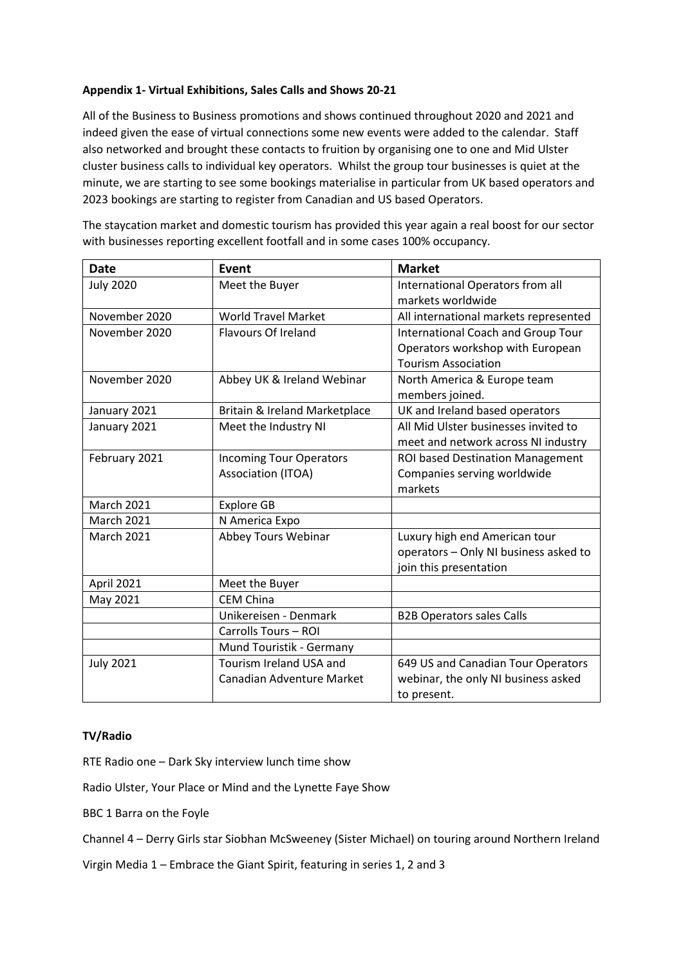## **Appendix 1- Virtual Exhibitions, Sales Calls and Shows 20-21**

All of the Business to Business promotions and shows continued throughout 2020 and 2021 and indeed given the ease of virtual connections some new events were added to the calendar. Staff also networked and brought these contacts to fruition by organising one to one and Mid Ulster cluster business calls to individual key operators. Whilst the group tour businesses is quiet at the minute, we are starting to see some bookings materialise in particular from UK based operators and 2023 bookings are starting to register from Canadian and US based Operators.

The staycation market and domestic tourism has provided this year again a real boost for our sector with businesses reporting excellent footfall and in some cases 100% occupancy.

| Date              | Event                          | <b>Market</b>                             |
|-------------------|--------------------------------|-------------------------------------------|
| <b>July 2020</b>  | Meet the Buyer                 | International Operators from all          |
|                   |                                | markets worldwide                         |
| November 2020     | <b>World Travel Market</b>     | All international markets represented     |
| November 2020     | <b>Flavours Of Ireland</b>     | <b>International Coach and Group Tour</b> |
|                   |                                | Operators workshop with European          |
|                   |                                | <b>Tourism Association</b>                |
| November 2020     | Abbey UK & Ireland Webinar     | North America & Europe team               |
|                   |                                | members joined.                           |
| January 2021      | Britain & Ireland Marketplace  | UK and Ireland based operators            |
| January 2021      | Meet the Industry NI           | All Mid Ulster businesses invited to      |
|                   |                                | meet and network across NI industry       |
| February 2021     | <b>Incoming Tour Operators</b> | ROI based Destination Management          |
|                   | Association (ITOA)             | Companies serving worldwide               |
|                   |                                | markets                                   |
| <b>March 2021</b> | <b>Explore GB</b>              |                                           |
| <b>March 2021</b> | N America Expo                 |                                           |
| <b>March 2021</b> | Abbey Tours Webinar            | Luxury high end American tour             |
|                   |                                | operators - Only NI business asked to     |
|                   |                                | join this presentation                    |
| April 2021        | Meet the Buyer                 |                                           |
| May 2021          | <b>CEM China</b>               |                                           |
|                   | Unikereisen - Denmark          | <b>B2B Operators sales Calls</b>          |
|                   | Carrolls Tours - ROI           |                                           |
|                   | Mund Touristik - Germany       |                                           |
| <b>July 2021</b>  | Tourism Ireland USA and        | 649 US and Canadian Tour Operators        |
|                   | Canadian Adventure Market      | webinar, the only NI business asked       |
|                   |                                | to present.                               |

## **TV/Radio**

RTE Radio one – Dark Sky interview lunch time show

Radio Ulster, Your Place or Mind and the Lynette Faye Show

BBC 1 Barra on the Foyle

Channel 4 – Derry Girls star Siobhan McSweeney (Sister Michael) on touring around Northern Ireland

Virgin Media 1 – Embrace the Giant Spirit, featuring in series 1, 2 and 3